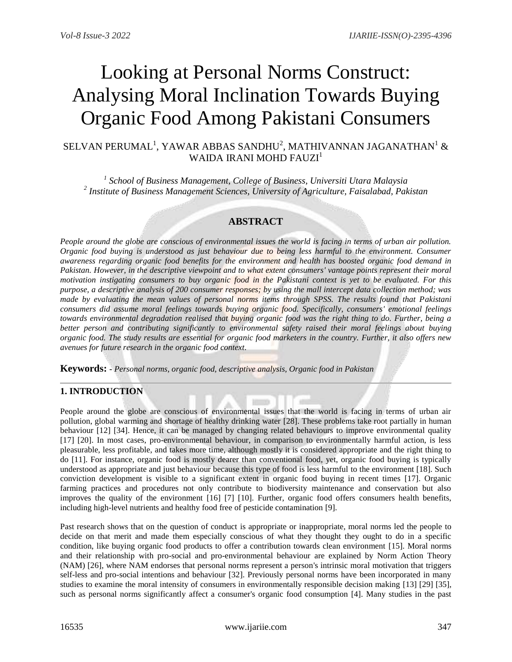# Looking at Personal Norms Construct: Analysing Moral Inclination Towards Buying Organic Food Among Pakistani Consumers

# SELVAN PERUMAL $^1$ , YAWAR ABBAS SANDHU $^2$ , MATHIVANNAN JAGANATHAN $^1$  & WAIDA IRANI MOHD FAUZI<sup>1</sup>

*1 School of Business Management, College of Business, Universiti Utara Malaysia 2 Institute of Business Management Sciences, University of Agriculture, Faisalabad, Pakistan*

## **ABSTRACT**

*People around the globe are conscious of environmental issues the world is facing in terms of urban air pollution. Organic food buying is understood as just behaviour due to being less harmful to the environment. Consumer awareness regarding organic food benefits for the environment and health has boosted organic food demand in Pakistan. However, in the descriptive viewpoint and to what extent consumers' vantage points represent their moral motivation instigating consumers to buy organic food in the Pakistani context is yet to be evaluated. For this purpose, a descriptive analysis of 200 consumer responses; by using the mall intercept data collection method; was made by evaluating the mean values of personal norms items through SPSS. The results found that Pakistani consumers did assume moral feelings towards buying organic food. Specifically, consumers' emotional feelings towards environmental degradation realised that buying organic food was the right thing to do. Further, being a better person and contributing significantly to environmental safety raised their moral feelings about buying organic food. The study results are essential for organic food marketers in the country. Further, it also offers new avenues for future research in the organic food context.*

**Keywords: -** *Personal norms, organic food, descriptive analysis, Organic food in Pakistan* 

## **1. INTRODUCTION**

People around the globe are conscious of environmental issues that the world is facing in terms of urban air pollution, global warming and shortage of healthy drinking water [28]. These problems take root partially in human behaviour [12] [34]. Hence, it can be managed by changing related behaviours to improve environmental quality [17] [20]. In most cases, pro-environmental behaviour, in comparison to environmentally harmful action, is less pleasurable, less profitable, and takes more time, although mostly it is considered appropriate and the right thing to do [11]. For instance, organic food is mostly dearer than conventional food, yet, organic food buying is typically understood as appropriate and just behaviour because this type of food is less harmful to the environment [18]. Such conviction development is visible to a significant extent in organic food buying in recent times [17]. Organic farming practices and procedures not only contribute to biodiversity maintenance and conservation but also improves the quality of the environment [16] [7] [10]. Further, organic food offers consumers health benefits, including high-level nutrients and healthy food free of pesticide contamination [9].

Past research shows that on the question of conduct is appropriate or inappropriate, moral norms led the people to decide on that merit and made them especially conscious of what they thought they ought to do in a specific condition, like buying organic food products to offer a contribution towards clean environment [15]. Moral norms and their relationship with pro-social and pro-environmental behaviour are explained by Norm Action Theory (NAM) [26], where NAM endorses that personal norms represent a person's intrinsic moral motivation that triggers self-less and pro-social intentions and behaviour [32]. Previously personal norms have been incorporated in many studies to examine the moral intensity of consumers in environmentally responsible decision making [13] [29] [35], such as personal norms significantly affect a consumer's organic food consumption [4]. Many studies in the past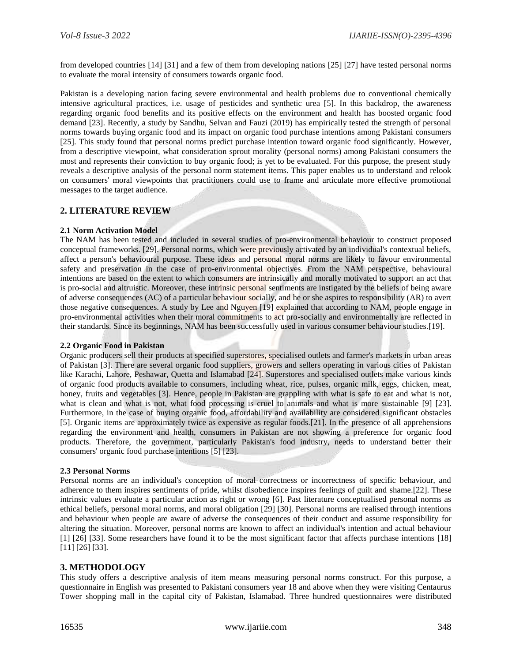from developed countries [14] [31] and a few of them from developing nations [25] [27] have tested personal norms to evaluate the moral intensity of consumers towards organic food.

Pakistan is a developing nation facing severe environmental and health problems due to conventional chemically intensive agricultural practices, i.e. usage of pesticides and synthetic urea [5]. In this backdrop, the awareness regarding organic food benefits and its positive effects on the environment and health has boosted organic food demand [23]. Recently, a study by Sandhu, Selvan and Fauzi (2019) has empirically tested the strength of personal norms towards buying organic food and its impact on organic food purchase intentions among Pakistani consumers [25]. This study found that personal norms predict purchase intention toward organic food significantly. However, from a descriptive viewpoint, what consideration sprout morality (personal norms) among Pakistani consumers the most and represents their conviction to buy organic food; is yet to be evaluated. For this purpose, the present study reveals a descriptive analysis of the personal norm statement items. This paper enables us to understand and relook on consumers' moral viewpoints that practitioners could use to frame and articulate more effective promotional messages to the target audience.

#### **2. LITERATURE REVIEW**

#### **2.1 Norm Activation Model**

The NAM has been tested and included in several studies of pro-environmental behaviour to construct proposed conceptual frameworks. [29]. Personal norms, which were previously activated by an individual's contextual beliefs, affect a person's behavioural purpose. These ideas and personal moral norms are likely to favour environmental safety and preservation in the case of pro-environmental objectives. From the NAM perspective, behavioural intentions are based on the extent to which consumers are intrinsically and morally motivated to support an act that is pro-social and altruistic. Moreover, these intrinsic personal sentiments are instigated by the beliefs of being aware of adverse consequences (AC) of a particular behaviour socially, and he or she aspires to responsibility (AR) to avert those negative consequences. A study by Lee and Nguyen [19] explained that according to NAM, people engage in pro-environmental activities when their moral commitments to act pro-socially and environmentally are reflected in their standards. Since its beginnings, NAM has been successfully used in various consumer behaviour studies.[19].

#### **2.2 Organic Food in Pakistan**

Organic producers sell their products at specified superstores, specialised outlets and farmer's markets in urban areas of Pakistan [3]. There are several organic food suppliers, growers and sellers operating in various cities of Pakistan like Karachi, Lahore, Peshawar, Quetta and Islamabad [24]. Superstores and specialised outlets make various kinds of organic food products available to consumers, including wheat, rice, pulses, organic milk, eggs, chicken, meat, honey, fruits and vegetables [3]. Hence, people in Pakistan are grappling with what is safe to eat and what is not, what is clean and what is not, what food processing is cruel to animals and what is more sustainable [9] [23]. Furthermore, in the case of buying organic food, affordability and availability are considered significant obstacles [5]. Organic items are approximately twice as expensive as regular foods.[21]. In the presence of all apprehensions regarding the environment and health, consumers in Pakistan are not showing a preference for organic food products. Therefore, the government, particularly Pakistan's food industry, needs to understand better their consumers' organic food purchase intentions [5] [23].

#### **2.3 Personal Norms**

Personal norms are an individual's conception of moral correctness or incorrectness of specific behaviour, and adherence to them inspires sentiments of pride, whilst disobedience inspires feelings of guilt and shame.[22]. These intrinsic values evaluate a particular action as right or wrong [6]. Past literature conceptualised personal norms as ethical beliefs, personal moral norms, and moral obligation [29] [30]. Personal norms are realised through intentions and behaviour when people are aware of adverse the consequences of their conduct and assume responsibility for altering the situation. Moreover, personal norms are known to affect an individual's intention and actual behaviour [1] [26] [33]. Some researchers have found it to be the most significant factor that affects purchase intentions [18] [11] [26] [33].

#### **3. METHODOLOGY**

This study offers a descriptive analysis of item means measuring personal norms construct. For this purpose, a questionnaire in English was presented to Pakistani consumers year 18 and above when they were visiting Centaurus Tower shopping mall in the capital city of Pakistan, Islamabad. Three hundred questionnaires were distributed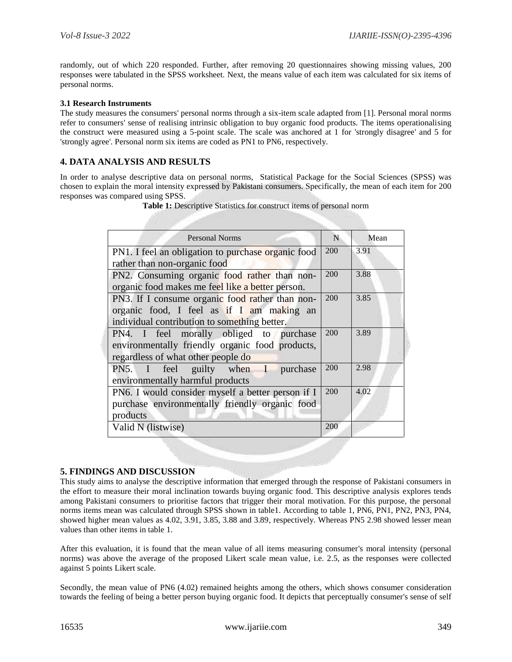randomly, out of which 220 responded. Further, after removing 20 questionnaires showing missing values, 200 responses were tabulated in the SPSS worksheet. Next, the means value of each item was calculated for six items of personal norms.

#### **3.1 Research Instruments**

The study measures the consumers' personal norms through a six-item scale adapted from [1]. Personal moral norms refer to consumers' sense of realising intrinsic obligation to buy organic food products. The items operationalising the construct were measured using a 5-point scale. The scale was anchored at 1 for 'strongly disagree' and 5 for 'strongly agree'. Personal norm six items are coded as PN1 to PN6, respectively.

## **4. DATA ANALYSIS AND RESULTS**

In order to analyse descriptive data on personal norms, Statistical Package for the Social Sciences (SPSS) was chosen to explain the moral intensity expressed by Pakistani consumers. Specifically, the mean of each item for 200 responses was compared using SPSS.

| <b>Personal Norms</b>                              | N   | Mean |
|----------------------------------------------------|-----|------|
| PN1. I feel an obligation to purchase organic food | 200 | 3.91 |
| rather than non-organic food                       |     |      |
| PN2. Consuming organic food rather than non-       | 200 | 3.88 |
| organic food makes me feel like a better person.   |     |      |
| PN3. If I consume organic food rather than non-    | 200 | 3.85 |
| organic food, I feel as if I am making an          |     |      |
| individual contribution to something better.       |     |      |
| PN4. I feel morally obliged to purchase            | 200 | 3.89 |
| environmentally friendly organic food products,    |     |      |
| regardless of what other people do                 |     |      |
| PN5. I feel guilty when I purchase                 | 200 | 2.98 |
| environmentally harmful products                   |     |      |
| PN6. I would consider myself a better person if I  | 200 | 4.02 |
| purchase environmentally friendly organic food     |     |      |
| products                                           |     |      |
| Valid N (listwise)                                 | 200 |      |

**Table 1:** Descriptive Statistics for construct items of personal norm

## **5. FINDINGS AND DISCUSSION**

This study aims to analyse the descriptive information that emerged through the response of Pakistani consumers in the effort to measure their moral inclination towards buying organic food. This descriptive analysis explores tends among Pakistani consumers to prioritise factors that trigger their moral motivation. For this purpose, the personal norms items mean was calculated through SPSS shown in table1. According to table 1, PN6, PN1, PN2, PN3, PN4, showed higher mean values as 4.02, 3.91, 3.85, 3.88 and 3.89, respectively. Whereas PN5 2.98 showed lesser mean values than other items in table 1.

After this evaluation, it is found that the mean value of all items measuring consumer's moral intensity (personal norms) was above the average of the proposed Likert scale mean value, i.e. 2.5, as the responses were collected against 5 points Likert scale.

Secondly, the mean value of PN6 (4.02) remained heights among the others, which shows consumer consideration towards the feeling of being a better person buying organic food. It depicts that perceptually consumer's sense of self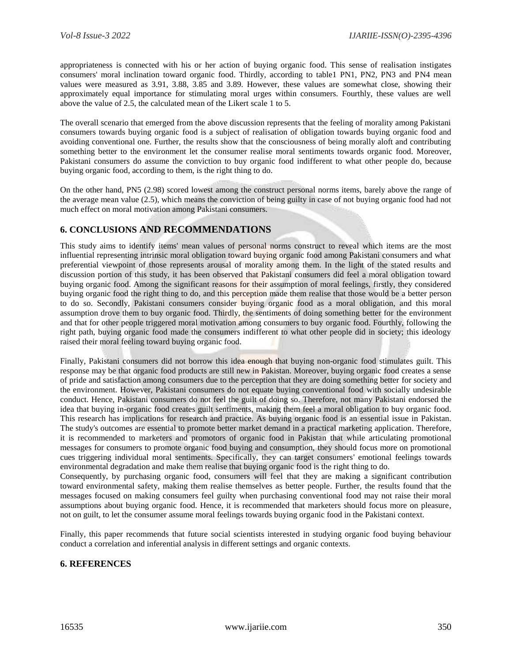appropriateness is connected with his or her action of buying organic food. This sense of realisation instigates consumers' moral inclination toward organic food. Thirdly, according to table1 PN1, PN2, PN3 and PN4 mean values were measured as 3.91, 3.88, 3.85 and 3.89. However, these values are somewhat close, showing their approximately equal importance for stimulating moral urges within consumers. Fourthly, these values are well above the value of 2.5, the calculated mean of the Likert scale 1 to 5.

The overall scenario that emerged from the above discussion represents that the feeling of morality among Pakistani consumers towards buying organic food is a subject of realisation of obligation towards buying organic food and avoiding conventional one. Further, the results show that the consciousness of being morally aloft and contributing something better to the environment let the consumer realise moral sentiments towards organic food. Moreover, Pakistani consumers do assume the conviction to buy organic food indifferent to what other people do, because buying organic food, according to them, is the right thing to do.

On the other hand, PN5 (2.98) scored lowest among the construct personal norms items, barely above the range of the average mean value (2.5), which means the conviction of being guilty in case of not buying organic food had not much effect on moral motivation among Pakistani consumers.

# **6. CONCLUSIONS AND RECOMMENDATIONS**

This study aims to identify items' mean values of personal norms construct to reveal which items are the most influential representing intrinsic moral obligation toward buying organic food among Pakistani consumers and what preferential viewpoint of those represents arousal of morality among them. In the light of the stated results and discussion portion of this study, it has been observed that Pakistani consumers did feel a moral obligation toward buying organic food. Among the significant reasons for their assumption of moral feelings, firstly, they considered buying organic food the right thing to do, and this perception made them realise that those would be a better person to do so. Secondly, Pakistani consumers consider buying organic food as a moral obligation, and this moral assumption drove them to buy organic food. Thirdly, the sentiments of doing something better for the environment and that for other people triggered moral motivation among consumers to buy organic food. Fourthly, following the right path, buying organic food made the consumers indifferent to what other people did in society; this ideology raised their moral feeling toward buying organic food.

Finally, Pakistani consumers did not borrow this idea enough that buying non-organic food stimulates guilt. This response may be that organic food products are still new in Pakistan. Moreover, buying organic food creates a sense of pride and satisfaction among consumers due to the perception that they are doing something better for society and the environment. However, Pakistani consumers do not equate buying conventional food with socially undesirable conduct. Hence, Pakistani consumers do not feel the guilt of doing so. Therefore, not many Pakistani endorsed the idea that buying in-organic food creates guilt sentiments, making them feel a moral obligation to buy organic food. This research has implications for research and practice. As buying organic food is an essential issue in Pakistan. The study's outcomes are essential to promote better market demand in a practical marketing application. Therefore, it is recommended to marketers and promotors of organic food in Pakistan that while articulating promotional messages for consumers to promote organic food buying and consumption, they should focus more on promotional cues triggering individual moral sentiments. Specifically, they can target consumers' emotional feelings towards environmental degradation and make them realise that buying organic food is the right thing to do.

Consequently, by purchasing organic food, consumers will feel that they are making a significant contribution toward environmental safety, making them realise themselves as better people. Further, the results found that the messages focused on making consumers feel guilty when purchasing conventional food may not raise their moral assumptions about buying organic food. Hence, it is recommended that marketers should focus more on pleasure, not on guilt, to let the consumer assume moral feelings towards buying organic food in the Pakistani context.

Finally, this paper recommends that future social scientists interested in studying organic food buying behaviour conduct a correlation and inferential analysis in different settings and organic contexts.

## **6. REFERENCES**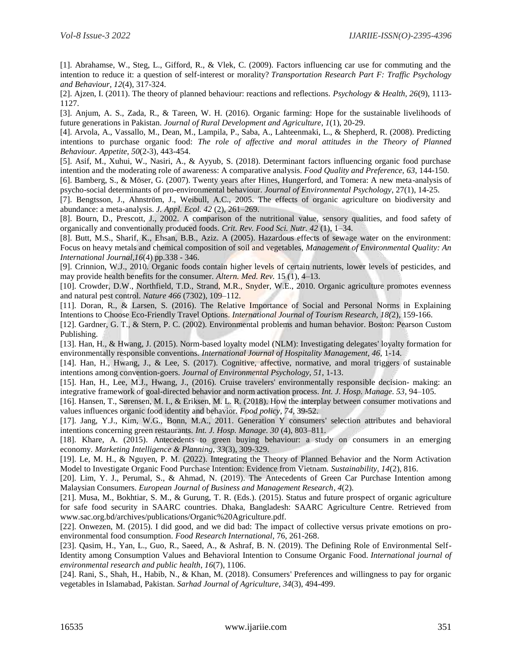[1]. Abrahamse, W., Steg, L., Gifford, R., & Vlek, C. (2009). Factors influencing car use for commuting and the intention to reduce it: a question of self-interest or morality? *Transportation Research Part F: Traffic Psychology and Behaviour, 12*(4), 317-324.

[2]. Ajzen, I. (2011). The theory of planned behaviour: reactions and reflections. *Psychology & Health, 26*(9), 1113- 1127.

[3]. Anjum, A. S., Zada, R., & Tareen, W. H. (2016). Organic farming: Hope for the sustainable livelihoods of future generations in Pakistan. *Journal of Rural Development and Agriculture*, *1*(1), 20-29.

[4]. Arvola, A., Vassallo, M., Dean, M., Lampila, P., Saba, A., Lahteenmaki, L., & Shepherd, R. (2008). Predicting intentions to purchase organic food: *The role of affective and moral attitudes in the Theory of Planned Behaviour. Appetite, 50*(2-3), 443-454.

[5]. Asif, M., Xuhui, W., Nasiri, A., & Ayyub, S. (2018). Determinant factors influencing organic food purchase intention and the moderating role of awareness: A comparative analysis. *Food Quality and Preference, 63*, 144-150.

[6]. Bamberg, S., & Möser, G. (2007). Twenty years after Hines, Hungerford, and Tomera: A new meta-analysis of psycho-social determinants of pro-environmental behaviour. *Journal of Environmental Psychology*, 27(1), 14-25.

[7]. Bengtsson, J., Ahnström, J., Weibull, A.C., 2005. The effects of organic agriculture on biodiversity and abundance: a meta-analysis. *J. Appl. Ecol. 42* (2), 261–269.

[8]. Bourn, D., Prescott, J., 2002. A comparison of the nutritional value, sensory qualities, and food safety of organically and conventionally produced foods. *Crit. Rev. Food Sci. Nutr. 42* (1), 1–34.

[8]. Butt, M.S., Sharif, K., Ehsan, B.B., Aziz. A (2005). Hazardous effects of sewage water on the environment: Focus on heavy metals and chemical composition of soil and vegetables, *Management of Environmental Quality: An International Journal,16*(4) pp.338 - 346.

[9]. Crinnion, W.J., 2010. Organic foods contain higher levels of certain nutrients, lower levels of pesticides, and may provide health benefits for the consumer. *Altern. Med. Rev.* 15 (1), 4–13.

[10]. Crowder, D.W., Northfield, T.D., Strand, M.R., Snyder, W.E., 2010. Organic agriculture promotes evenness and natural pest control. *Nature 466* (7302), 109–112.

[11]. Doran, R., & Larsen, S. (2016). The Relative Importance of Social and Personal Norms in Explaining Intentions to Choose Eco-Friendly Travel Options. *International Journal of Tourism Research, 18(*2), 159-166.

[12]. Gardner, G. T., & Stern, P. C. (2002). Environmental problems and human behavior. Boston: Pearson Custom Publishing.

[13]. Han, H., & Hwang, J. (2015). Norm-based loyalty model (NLM): Investigating delegates' loyalty formation for environmentally responsible conventions. *International Journal of Hospitality Management, 46,* 1-14.

[14]. Han, H., Hwang, J., & Lee, S. (2017). Cognitive, affective, normative, and moral triggers of sustainable intentions among convention-goers. *Journal of Environmental Psychology, 51*, 1-13.

[15]. Han, H., Lee, M.J., Hwang, J., (2016). Cruise travelers' environmentally responsible decision- making: an integrative framework of goal-directed behavior and norm activation process. *Int. J. Hosp. Manage. 53*, 94–105.

[16]. Hansen, T., Sørensen, M. I., & Eriksen, M. L. R. (2018). How the interplay between consumer motivations and values influences organic food identity and behavior. *Food policy, 74*, 39-52.

[17]. Jang, Y.J., Kim, W.G., Bonn, M.A., 2011. Generation Y consumers' selection attributes and behavioral intentions concerning green restaurants. *Int. J. Hosp. Manage. 30* (4), 803–811.

[18]. Khare, A. (2015). Antecedents to green buying behaviour: a study on consumers in an emerging economy. *Marketing Intelligence & Planning, 33*(3), 309-329.

[19]. Le, M. H., & Nguyen, P. M. (2022). Integrating the Theory of Planned Behavior and the Norm Activation Model to Investigate Organic Food Purchase Intention: Evidence from Vietnam. *Sustainability, 14*(2), 816.

[20]. Lim, Y. J., Perumal, S., & Ahmad, N. (2019). The Antecedents of Green Car Purchase Intention among Malaysian Consumers. *European Journal of Business and Management Research*, *4*(2).

[21]. Musa, M., Bokhtiar, S. M., & Gurung, T. R. (Eds.). (2015). Status and future prospect of organic agriculture for safe food security in SAARC countries. Dhaka, Bangladesh: SAARC Agriculture Centre. Retrieved from www.sac.org.bd/archives/publications/Organic%20Agriculture.pdf.

[22]. Onwezen, M. (2015). I did good, and we did bad: The impact of collective versus private emotions on proenvironmental food consumption. *Food Research International*, 76, 261-268.

[23]. Qasim, H., Yan, L., Guo, R., Saeed, A., & Ashraf, B. N. (2019). The Defining Role of Environmental Self-Identity among Consumption Values and Behavioral Intention to Consume Organic Food. *International journal of environmental research and public health*, *16*(7), 1106.

[24]. Rani, S., Shah, H., Habib, N., & Khan, M. (2018). Consumers' Preferences and willingness to pay for organic vegetables in Islamabad, Pakistan. *Sarhad Journal of Agriculture*, *34*(3), 494-499.